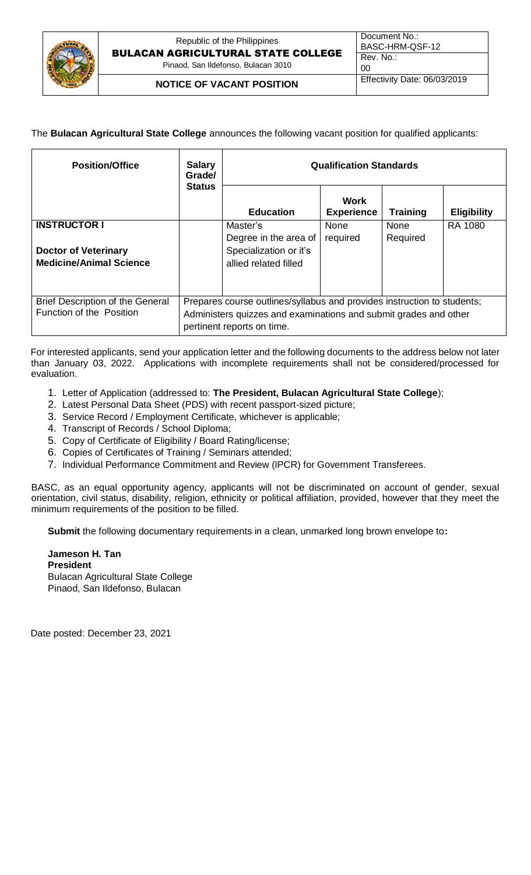

The **Bulacan Agricultural State College** announces the following vacant position for qualified applicants:

| <b>Position/Office</b>                                                               | <b>Salary</b><br>Grade/<br><b>Status</b>                                                                                                                                  | <b>Qualification Standards</b>                                                       |                           |                         |                    |  |
|--------------------------------------------------------------------------------------|---------------------------------------------------------------------------------------------------------------------------------------------------------------------------|--------------------------------------------------------------------------------------|---------------------------|-------------------------|--------------------|--|
|                                                                                      |                                                                                                                                                                           | <b>Education</b>                                                                     | Work<br><b>Experience</b> | <b>Training</b>         | <b>Eligibility</b> |  |
| <b>INSTRUCTOR I</b><br><b>Doctor of Veterinary</b><br><b>Medicine/Animal Science</b> |                                                                                                                                                                           | Master's<br>Degree in the area of<br>Specialization or it's<br>allied related filled | <b>None</b><br>required   | <b>None</b><br>Required | <b>RA 1080</b>     |  |
| Brief Description of the General<br>Function of the Position                         | Prepares course outlines/syllabus and provides instruction to students;<br>Administers quizzes and examinations and submit grades and other<br>pertinent reports on time. |                                                                                      |                           |                         |                    |  |

For interested applicants, send your application letter and the following documents to the address below not later than January 03, 2022. Applications with incomplete requirements shall not be considered/processed for evaluation.

- 1. Letter of Application (addressed to: **The President, Bulacan Agricultural State College**);
- 2. Latest Personal Data Sheet (PDS) with recent passport-sized picture;
- 3. Service Record / Employment Certificate, whichever is applicable;
- 4. Transcript of Records / School Diploma;
- 5. Copy of Certificate of Eligibility / Board Rating/license;
- 6. Copies of Certificates of Training / Seminars attended;
- 7. Individual Performance Commitment and Review (IPCR) for Government Transferees.

BASC, as an equal opportunity agency, applicants will not be discriminated on account of gender, sexual orientation, civil status, disability, religion, ethnicity or political affiliation, provided, however that they meet the minimum requirements of the position to be filled.

**Submit** the following documentary requirements in a clean, unmarked long brown envelope to**:** 

**Jameson H. Tan President** Bulacan Agricultural State College Pinaod, San Ildefonso, Bulacan

Date posted: December 23, 2021